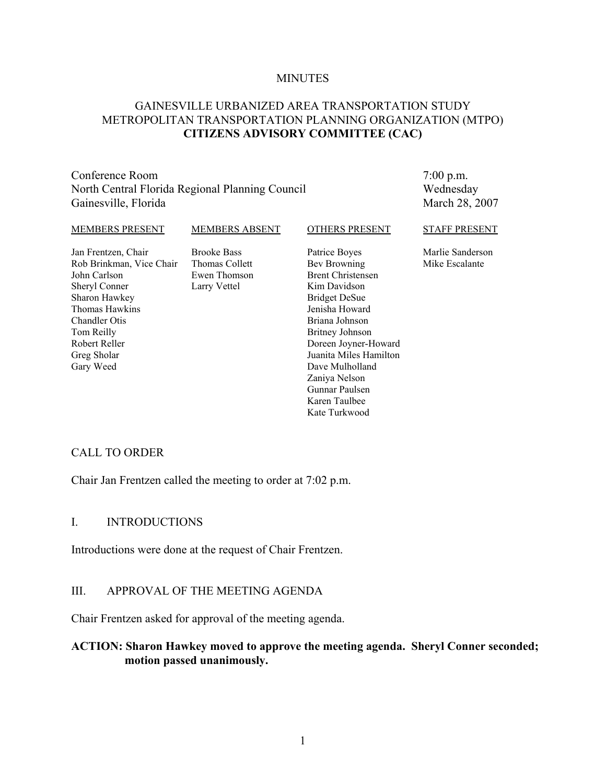#### **MINUTES**

#### GAINESVILLE URBANIZED AREA TRANSPORTATION STUDY METROPOLITAN TRANSPORTATION PLANNING ORGANIZATION (MTPO) **CITIZENS ADVISORY COMMITTEE (CAC)**

Conference Room North Central Florida Regional Planning Council Gainesville, Florida

7:00 p.m. Wednesday March 28, 2007

#### MEMBERS PRESENT Jan Frentzen, Chair Rob Brinkman, Vice Chair John Carlson Sheryl Conner Sharon Hawkey Thomas Hawkins Chandler Otis Tom Reilly Robert Reller Greg Sholar Gary Weed MEMBERS ABSENT Brooke Bass Thomas Collett Ewen Thomson Larry Vettel OTHERS PRESENT Patrice Boyes Bev Browning Brent Christensen Kim Davidson Bridget DeSue Jenisha Howard Briana Johnson Britney Johnson Doreen Joyner-Howard Juanita Miles Hamilton Dave Mulholland Zaniya Nelson STAFF PRESENT Marlie Sanderson Mike Escalante

Gunnar Paulsen Karen Taulbee Kate Turkwood

#### CALL TO ORDER

Chair Jan Frentzen called the meeting to order at 7:02 p.m.

#### I. INTRODUCTIONS

Introductions were done at the request of Chair Frentzen.

#### III. APPROVAL OF THE MEETING AGENDA

Chair Frentzen asked for approval of the meeting agenda.

#### **ACTION: Sharon Hawkey moved to approve the meeting agenda. Sheryl Conner seconded; motion passed unanimously.**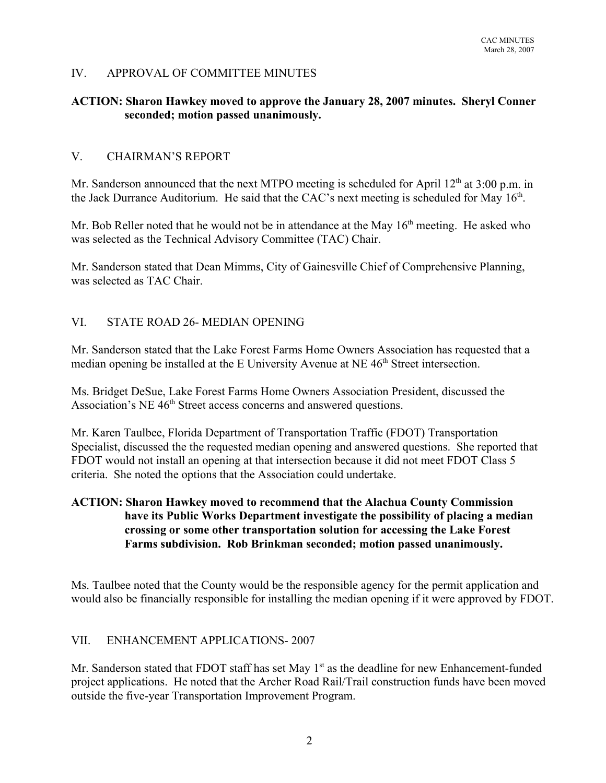# IV. APPROVAL OF COMMITTEE MINUTES

#### **ACTION: Sharon Hawkey moved to approve the January 28, 2007 minutes. Sheryl Conner seconded; motion passed unanimously.**

#### V. CHAIRMAN'S REPORT

Mr. Sanderson announced that the next MTPO meeting is scheduled for April  $12<sup>th</sup>$  at 3:00 p.m. in the Jack Durrance Auditorium. He said that the CAC's next meeting is scheduled for May  $16<sup>th</sup>$ .

Mr. Bob Reller noted that he would not be in attendance at the May  $16<sup>th</sup>$  meeting. He asked who was selected as the Technical Advisory Committee (TAC) Chair.

Mr. Sanderson stated that Dean Mimms, City of Gainesville Chief of Comprehensive Planning, was selected as TAC Chair.

#### VI. STATE ROAD 26- MEDIAN OPENING

Mr. Sanderson stated that the Lake Forest Farms Home Owners Association has requested that a median opening be installed at the E University Avenue at NE 46<sup>th</sup> Street intersection.

Ms. Bridget DeSue, Lake Forest Farms Home Owners Association President, discussed the Association's NE 46<sup>th</sup> Street access concerns and answered questions.

Mr. Karen Taulbee, Florida Department of Transportation Traffic (FDOT) Transportation Specialist, discussed the the requested median opening and answered questions. She reported that FDOT would not install an opening at that intersection because it did not meet FDOT Class 5 criteria. She noted the options that the Association could undertake.

# **ACTION: Sharon Hawkey moved to recommend that the Alachua County Commission have its Public Works Department investigate the possibility of placing a median crossing or some other transportation solution for accessing the Lake Forest Farms subdivision. Rob Brinkman seconded; motion passed unanimously.**

Ms. Taulbee noted that the County would be the responsible agency for the permit application and would also be financially responsible for installing the median opening if it were approved by FDOT.

## VII. ENHANCEMENT APPLICATIONS- 2007

Mr. Sanderson stated that FDOT staff has set May 1<sup>st</sup> as the deadline for new Enhancement-funded project applications. He noted that the Archer Road Rail/Trail construction funds have been moved outside the five-year Transportation Improvement Program.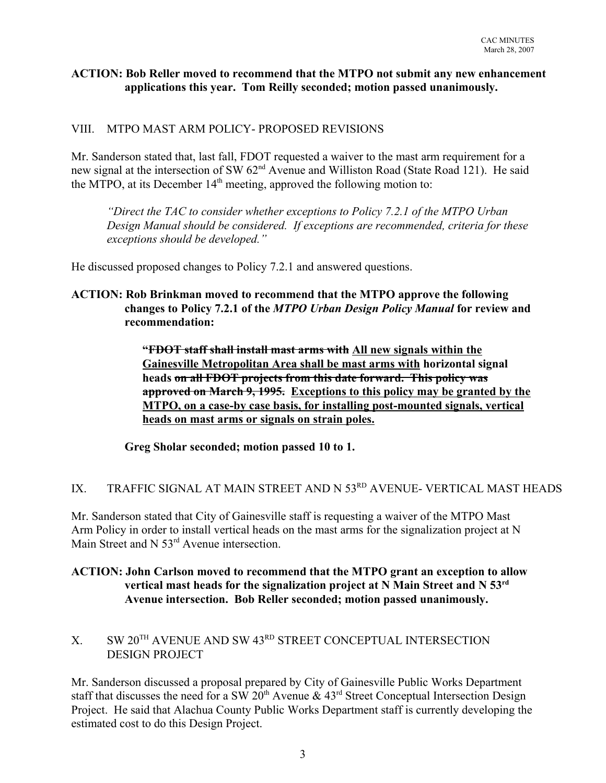#### **ACTION: Bob Reller moved to recommend that the MTPO not submit any new enhancement applications this year. Tom Reilly seconded; motion passed unanimously.**

# VIII. MTPO MAST ARM POLICY- PROPOSED REVISIONS

Mr. Sanderson stated that, last fall, FDOT requested a waiver to the mast arm requirement for a new signal at the intersection of SW 62<sup>nd</sup> Avenue and Williston Road (State Road 121). He said the MTPO, at its December  $14<sup>th</sup>$  meeting, approved the following motion to:

*"Direct the TAC to consider whether exceptions to Policy 7.2.1 of the MTPO Urban Design Manual should be considered. If exceptions are recommended, criteria for these exceptions should be developed."*

He discussed proposed changes to Policy 7.2.1 and answered questions.

# **ACTION: Rob Brinkman moved to recommend that the MTPO approve the following changes to Policy 7.2.1 of the** *MTPO Urban Design Policy Manual* **for review and recommendation:**

**"FDOT staff shall install mast arms with All new signals within the Gainesville Metropolitan Area shall be mast arms with horizontal signal heads on all FDOT projects from this date forward. This policy was approved on March 9, 1995. Exceptions to this policy may be granted by the MTPO, on a case-by case basis, for installing post-mounted signals, vertical heads on mast arms or signals on strain poles.**

**Greg Sholar seconded; motion passed 10 to 1.**

# IX. TRAFFIC SIGNAL AT MAIN STREET AND N 53<sup>RD</sup> AVENUE- VERTICAL MAST HEADS

Mr. Sanderson stated that City of Gainesville staff is requesting a waiver of the MTPO Mast Arm Policy in order to install vertical heads on the mast arms for the signalization project at N Main Street and N 53<sup>rd</sup> Avenue intersection.

## **ACTION: John Carlson moved to recommend that the MTPO grant an exception to allow vertical mast heads for the signalization project at N Main Street and N 53rd Avenue intersection. Bob Reller seconded; motion passed unanimously.**

# X. SW 20<sup>TH</sup> AVENUE AND SW 43<sup>RD</sup> STREET CONCEPTUAL INTERSECTION DESIGN PROJECT

Mr. Sanderson discussed a proposal prepared by City of Gainesville Public Works Department staff that discusses the need for a SW  $20^{th}$  Avenue  $\& 43^{rd}$  Street Conceptual Intersection Design Project. He said that Alachua County Public Works Department staff is currently developing the estimated cost to do this Design Project.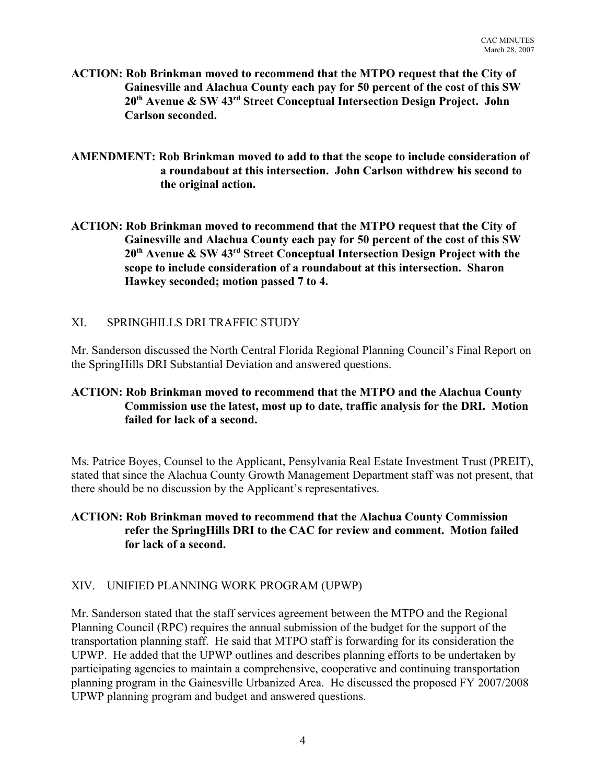- **ACTION: Rob Brinkman moved to recommend that the MTPO request that the City of Gainesville and Alachua County each pay for 50 percent of the cost of this SW 20th Avenue & SW 43rd Street Conceptual Intersection Design Project. John Carlson seconded.**
- **AMENDMENT: Rob Brinkman moved to add to that the scope to include consideration of a roundabout at this intersection. John Carlson withdrew his second to the original action.**
- **ACTION: Rob Brinkman moved to recommend that the MTPO request that the City of Gainesville and Alachua County each pay for 50 percent of the cost of this SW 20th Avenue & SW 43rd Street Conceptual Intersection Design Project with the scope to include consideration of a roundabout at this intersection. Sharon Hawkey seconded; motion passed 7 to 4.**

#### XI. SPRINGHILLS DRI TRAFFIC STUDY

Mr. Sanderson discussed the North Central Florida Regional Planning Council's Final Report on the SpringHills DRI Substantial Deviation and answered questions.

# **ACTION: Rob Brinkman moved to recommend that the MTPO and the Alachua County Commission use the latest, most up to date, traffic analysis for the DRI. Motion failed for lack of a second.**

Ms. Patrice Boyes, Counsel to the Applicant, Pensylvania Real Estate Investment Trust (PREIT), stated that since the Alachua County Growth Management Department staff was not present, that there should be no discussion by the Applicant's representatives.

# **ACTION: Rob Brinkman moved to recommend that the Alachua County Commission refer the SpringHills DRI to the CAC for review and comment. Motion failed for lack of a second.**

## XIV. UNIFIED PLANNING WORK PROGRAM (UPWP)

Mr. Sanderson stated that the staff services agreement between the MTPO and the Regional Planning Council (RPC) requires the annual submission of the budget for the support of the transportation planning staff. He said that MTPO staff is forwarding for its consideration the UPWP. He added that the UPWP outlines and describes planning efforts to be undertaken by participating agencies to maintain a comprehensive, cooperative and continuing transportation planning program in the Gainesville Urbanized Area. He discussed the proposed FY 2007/2008 UPWP planning program and budget and answered questions.